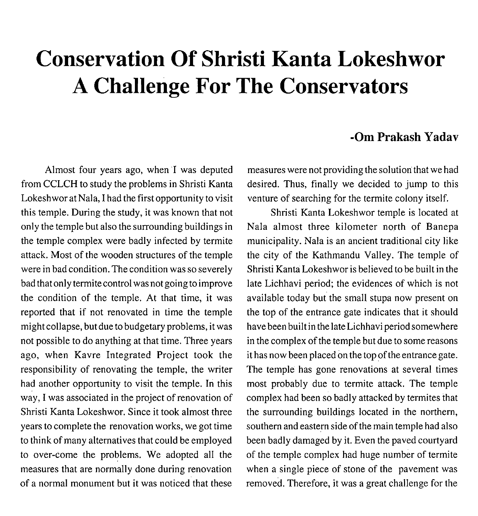## **Conservation Of Shristi Kanta Lokeshwor A Challenge For The Conservators**

## **-Om Prakash Yadav**

Almost four years ago, when I was deputed from CCLCH to study the problems in Shristi Kanta Lokeshworat Nala, I had the first opportunity to visit this temple. During the study, it was known that not only the temple but also the surrounding buildings in the temple complex were badly infected by termite attack. Most of the wooden structures of the temple were in bad condition. The condition was so severely bad that only termite control was not going to improve the condition of the temple. At that time, it was reported that if not renovated in time the temple might collapse, but due to budgetary problems, it was not possible to do anything at that time. Three years ago, when Kavre Integrated Project took the responsibility of renovating the temple, the writer had another opportunity to visit the temple. In this way, I was associated in the project of renovation of Shristi Kanta Lokeshwor. Since it took almost three years to complete the renovation works, we got time to think of many alternatives that could be employed to over-come the problems. We adopted all the measures that are normally done during renovation of a normal monument but it was noticed that these measures were not providing the solution that we had desired. Thus, finally we decided to jump to this venture of searching for the termite colony itself.

Shristi Kanta Lokeshwor temple is located at Nala almost three kilometer north of Banepa municipality. Nala is an ancient traditional city like the city of the Kathmandu Valley. The temple of Shristi Kanta Lokeshwor is believed to be built in the late Lichhavi period; the evidences of which is not available today but the small stupa now present on the top of the entrance gate indicates that it should have been built in the late Lichhavi period somewhere in the complex of the temple but due to some reasons it has now been placed on the top of the entrance gate. The temple has gone renovations at several times most probably due to termite attack. The temple complex had been so badly attacked by termites that the surrounding buildings located in the northern, southern and eastern side of the main temple had also been badly damaged by it. Even the paved courtyard of the temple complex had huge number of termite when a single piece of stone of the pavement was removed. Therefore, it was a great challenge for the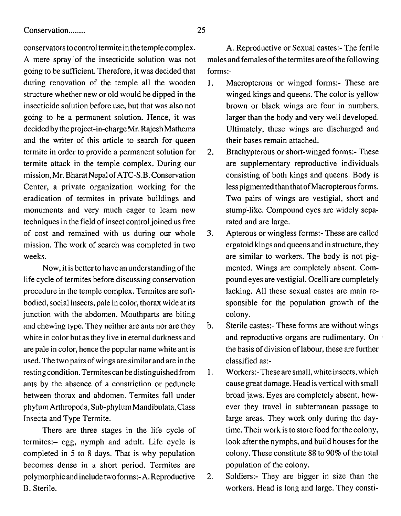conservators to control termite in the temple complex. A mere spray of the insecticide solution was not going to be sufficient. Therefore, it was decided that during renovation of the temple all the wooden structure whether new or old would be dipped in the insecticide solution before use, but that was also not going to be a permanent solution. Hence, it was decided by the project-in-chargeMr. Rajesh Mathema and the writer of this article to search for queen termite in order to provide a permanent solution for termite attack in the temple complex. During our mission, Mr. Bharat Nepal ofATC-S.B. Conservation Center, a private organization working for the eradication of termites in private buildings and monuments and very much eager to learn new techniques in the field of insect control joined us free of cost and remained with us during our whole mission. The work of search was completed in two weeks.

Now, it is better to have an understanding of the life cycle of termites before discussing conservation procedure in the temple complex. Termites are softbodied, social insects, pale in color, thorax wide at its junction with the abdomen. Mouthparts are biting and chewing type. They neither are ants nor are they white in color but as they live in eternal darkness and are pale in color, hence the popular name white ant is used. The two pairs of wings are similar and are in the resting condition.Termitescan be distinguished from ants by the absence of a constriction or peduncle between thorax and abdomen. Termites fall under phylum Arthropoda, Sub-phylum Mandibulata, Class Insecta and Type Termite.

There are three stages in the life cycle of termites:- egg, nymph and adult. Life cycle is completed in *5* to 8 days. That is why population becomes dense in a short period. Termites are polymorphic and include twoforms:- A. Reproductive B. Sterile.

A. Reproductive or Sexual castes:- The fertile males and females of the termites are of the following forms:-

- 1. Macropterous or winged forms:- These are winged kings and queens. The color is yellow brown or black wings are four in numbers, larger than the body and very well developed. Ultimately, these wings are discharged and their bases remain attached.
- *2.* Brachypterous or short-winged forms:- These are supplementary reproductive individuals consisting of both kings and queens. Body is less pigmented than that of Macropterous forms. Two pairs of wings are vestigial, short and stump-like. Compound eyes are widely separated and are large.
- **3.** Apterous or wingless forms:- These are called ergatoid kings and queens and in structure, they are similar to workers. The body is not pigmented. Wings are completely absent. Compound eyes are vestigial. Ocelli are completely lacking. All these sexual castes are main responsible for the population growth of the colony.
- b. Sterile castes:- These forms are without wings and reproductive organs are rudimentary. On the basis of division of labour, these are further classified as:-
- 1. Workers:-Thesearesmall, whiteinsects, which cause great damage. Head is vertical with small broad jaws. Eyes are completely absent, however they travel in subterranean passage to large areas. They work only during the daytime. Their work is to store food for the colony, look after the nymphs, and build houses for the colony. These constitute 88 to 90% of the total population of the colony.
- *2.* Soldiers:- They are bigger in size than the workers. Head is long and large. They consti-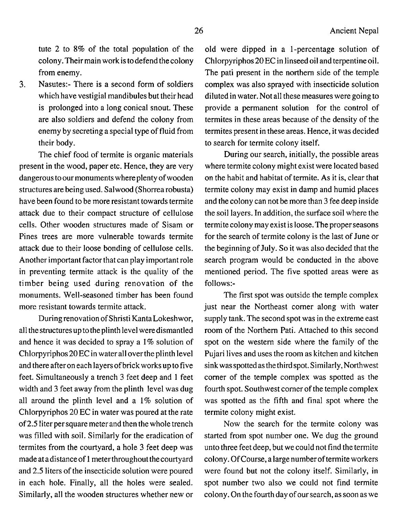tute 2 to 8% of the total population of the colony.Their main work is todefend thecolony from enemy.

3. Nasutes:- There is a second form of soldiers which have vestigial mandibules but their head is prolonged into a long conical snout. These are also soldiers and defend the colony from enemy by secreting a special type of fluid from their body.

The chief food of termite is organic materials present in the wood, paper etc. Hence, they are very dangerous to our monuments where plenty of wooden structures are being used. Salwood (Shorrea robusta) have been found to be more resistant towards termite attack due to their compact structure of cellulose cells. Other wooden structures made of Sisam or Pines trees are more vulnerable towards termite attack due to their loose bonding of cellulose cells. Another important factor that can play important role in preventing termite attack is the quality of the timber being used during renovation of the monuments. Well-seasoned timber has been found more resistant towards termite attack.

During renovation of Shristi Kanta Lokeshwor, all thestructures up to the plinth level weredismantled and hence it was decided to spray a 1% solution of Chlorpyriphos20EC in water all overthe plinth level and there after on each layers ofbrick works up to five feet. Simultaneously a trench 3 feet deep and 1 feet width and 3 feet away from the plinth level was dug all around the plinth level and a 1% solution of Chlorpyriphos 20 EC in water was poured at the rate of 2.5 liter per square meter and then the whole trench was filled with soil. Similarly for the eradication of termites from the courtyard, a hole 3 feet deep was made at a distance of 1 meter throughout the courtyard and 2.5 liters of the insecticide solution were poured in each hole. Finally, all the holes were sealed. Similarly, all the wooden structures whether new or

old were dipped in a 1-percentage solution of Chlorpyriphos 20 EC in linseed oil and terpentine oil. The pati present in the northern side of the temple complex was also sprayed with insecticide solution diluted in water. Not all these measures were going to provide a permanent solution for the control of termites in these areas because of the density of the termites present in these areas. Hence, it was decided to search for termite colony itself.

During our search, initially, the possible areas where termite colony might exist were located based on the habit and habitat of termite. As it is, clear that termite colony may exist in damp and humid places and the colony can not be more than 3 fee deep inside the soil layers. In addition, the surface soil where the termite colony may exist is loose. The proper seasons for the search of termite colony is the last of June or the beginning of July. So it was also decided that the search program would be conducted in the above mentioned period. The five spotted areas were as follows:-

The first spot was outside the temple complex just near the Northeast corner along with water supply tank. The second spot was in the extreme east room of the Northern Pati. Attached to this second spot on the western side where the family of the Pujari lives and uses the room as kitchen and kitchen sink was spotted as the third spot. Similarly, Northwest comer of the temple complex was spotted as the fourth spot. Southwest comer of the temple complex was spotted as the fifth and final spot where the termite colony might exist.

Now the search for the termite colony was started from spot number one. We dug the ground unto three feet deep, but we could not find the termite colony. Of Course, a large number of termite workers were found but not the colony itself. Similarly, in spot number two also we could not find termite colony. On the fourth day of our search, as soon as we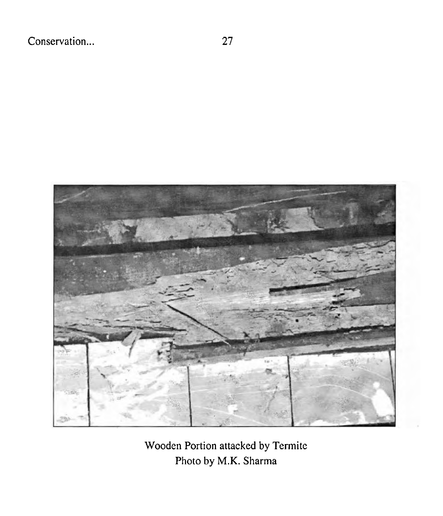

Wooden Portion attacked by Termite Photo by M.K. Sharma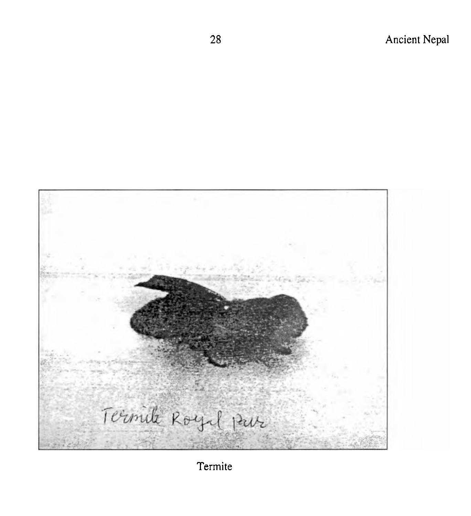

Termite